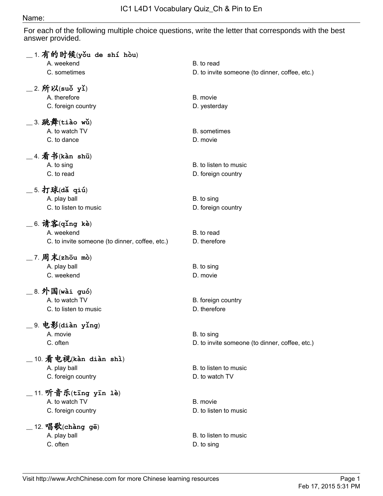## Name:

For each of the following multiple choice questions, write the letter that corresponds with the best answer provided.

| $\_$ 1. 有的时候(yǒu de shí hòu)                   |                                                |
|------------------------------------------------|------------------------------------------------|
| A. weekend                                     | B. to read                                     |
| C. sometimes                                   | D. to invite someone (to dinner, coffee, etc.) |
| $\_$ 2. 所以(suǒ yǐ)                             |                                                |
| A. therefore                                   | B. movie                                       |
| C. foreign country                             | D. yesterday                                   |
| $\_$ 3. 跳舞(tiào wǔ)                            |                                                |
| A. to watch TV                                 | <b>B.</b> sometimes                            |
| C. to dance                                    | D. movie                                       |
| $\_$ 4. 看书(kàn shū)                            |                                                |
| A. to sing                                     | B. to listen to music                          |
| C. to read                                     | D. foreign country                             |
| $\_$ 5. 打球(dǎ qiú)                             |                                                |
| A. play ball                                   | B. to sing                                     |
| C. to listen to music                          | D. foreign country                             |
| $\_$ 6. 请客(qǐng kè)                            |                                                |
| A. weekend                                     | B. to read                                     |
| C. to invite someone (to dinner, coffee, etc.) | D. therefore                                   |
|                                                |                                                |
| $\_$ 7. 周末(zhōu mò)                            |                                                |
| A. play ball                                   | B. to sing                                     |
| C. weekend                                     | D. movie                                       |
| $\_$ 8. 外国(wài guó)                            |                                                |
| A. to watch TV                                 | B. foreign country                             |
| C. to listen to music                          | D. therefore                                   |
| 9. 电影(diàn yǐng)                               |                                                |
| A. movie                                       | B. to sing                                     |
| C. often                                       | D. to invite someone (to dinner, coffee, etc.) |
| $\_$ 10. 看电视(kàn diàn shì)                     |                                                |
| A. play ball                                   | B. to listen to music                          |
| C. foreign country                             | D. to watch TV                                 |
|                                                |                                                |
| _11. 听音乐(tīng yīn 1è)                          |                                                |
| A. to watch TV                                 | B. movie                                       |
| C. foreign country                             | D. to listen to music                          |
| $12.$ 唱歌(chàng gē)                             |                                                |
| A. play ball                                   | B. to listen to music                          |
| C. often                                       | D. to sing                                     |
|                                                |                                                |